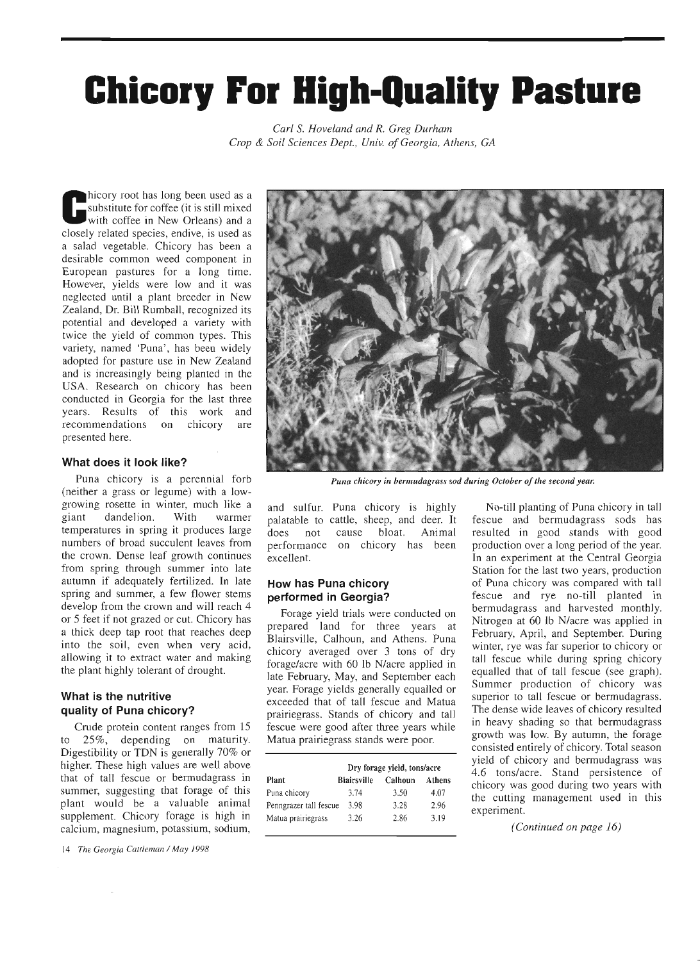# Ghicory For High-Quality Pasture

Carl S. Hoveland and R. Greg Durham Crop & Soil Sciences Dept., Univ. of Georgia, Athens, GA

hicory root has long been used as a substitute for coffee (it is still mixed with coffee in New Orleans) and a closely related species, endive, is used as a salad vegetable. Chicory has been a desirable common weed component in European pastures for a long time. However, yields were low and it was neglected until a plant breeder in New Zealand, Dr. Bill Rumball, recognized its potential and developed a variety with twice the yield of common types. This variety, named 'Puna', has been widely adopted for pasture use in New Zealand and is increasingly being planted in the USA. Research on chicory has been conducted in Georgia for the last three years. Results of this work and recommendations on chicory are presented here.

### What does it look like?

Puna chicory is a perennial forb (neither a grass or legume) with a lowgrowing rosette in winter, much like a giant dandelion. With warmer temperatures in spring it produces large numbers of broad succulent leaves from the crown. Dense leaf growth continues from spring through summer into late autumn if adequately fertilized. In late spring and summer, a few flower stems develop from the crown and will reach 4 or 5 feet if not grazed or cut. Chicory has a thick deep tap root that reaches deep into the soil, even when very acid, allowing it to extract water and making the plant highly tolerant of drought.

## What is the nutritive quality of Puna chicory?

Crude protein content ranges from 15 to 25%, depending on maturity. Digestibility or TDN is generally 70% or higher. These high values are well above that of tall fescue or bermudagrass in summer, suggesting that forage of this plant would be a valuable animal supplement. Chicory forage is high in calcium, magnesium, potassium, sodium,

14 The Georgia Cattleman / May 1998



Puna chicory in bermudagrass sod during October of the second year.

and sulfur. Puna chicory is highly palatable to cattle, sheep, and deer. It does not cause bloat. Animal performance on chicory has been excellent.

## How has Puna chicory performed in Georgia?

Forage yield trials were conducted on prepared land for three years at Blairsville, Calhoun, and Athens. Puna chicory averaged over 3 tons of dry forage/acre with 60 lb N/acre applied in late February, May, and September each year. Forage yields generally equalled or exceeded that of tall fescue and Matua prairiegrass. Stands of chicory and tall fescue were good after three years while Matua prairiegrass stands were poor.

|                        | Dry forage yield, tons/acre |         |        |
|------------------------|-----------------------------|---------|--------|
| Plant                  | <b>Blairsville</b>          | Calhoun | Athens |
| Puna chicory           | 3.74                        | 3.50    | 4.07   |
| Penngrazer tall fescue | 3.98                        | 3.28    | 2.96   |
| Matua prairiegrass     | 3.26                        | 2.86    | 3.19   |

No-till planting of Puna chicory in tall fescue and bermudagrass sods has resulted in good stands with good production over a long period of the year. In an experiment at the Central Georgia Station for the last two years, production of Puna chicory was compared with tall fescue and rye no-till planted in bermudagrass and harvested monthly. Nitrogen at 60 lb N/acre was applied in February, April, and September. During winter, rye was far superior to chicory or tall fescue while during spring chicory equalled that of tall fescue (see graph). Summer production of chicory was superior to tall fescue or bermudagrass. The dense wide leaves of chicory resulted in heavy shading so that bermudagrass growth was low. By autumn, the forage consisted entirely of chicory. Total season yield of chicory and bermudagrass was 4.6 tons/acre. Stand persistence of chicory was good during two years with the cutting management used in this experiment.

(Continued on page 16)